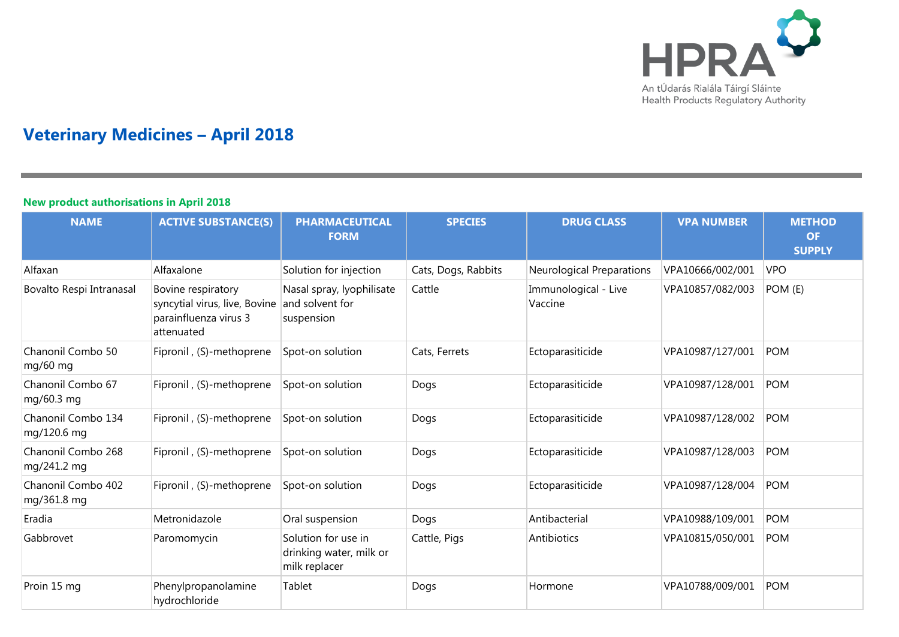

# **Veterinary Medicines – April 2018**

#### **New product authorisations in April 2018**

| <b>NAME</b>                       | <b>ACTIVE SUBSTANCE(S)</b>                                                                 | <b>PHARMACEUTICAL</b><br><b>FORM</b>                            | <b>SPECIES</b>      | <b>DRUG CLASS</b>               | <b>VPA NUMBER</b> | <b>METHOD</b><br><b>OF</b><br><b>SUPPLY</b> |
|-----------------------------------|--------------------------------------------------------------------------------------------|-----------------------------------------------------------------|---------------------|---------------------------------|-------------------|---------------------------------------------|
| Alfaxan                           | Alfaxalone                                                                                 | Solution for injection                                          | Cats, Dogs, Rabbits | Neurological Preparations       | VPA10666/002/001  | <b>VPO</b>                                  |
| Bovalto Respi Intranasal          | Bovine respiratory<br>syncytial virus, live, Bovine<br>parainfluenza virus 3<br>attenuated | Nasal spray, lyophilisate<br>and solvent for<br>suspension      | Cattle              | Immunological - Live<br>Vaccine | VPA10857/082/003  | POM (E)                                     |
| Chanonil Combo 50<br>mg/60 mg     | Fipronil, (S)-methoprene                                                                   | Spot-on solution                                                | Cats, Ferrets       | Ectoparasiticide                | VPA10987/127/001  | <b>POM</b>                                  |
| Chanonil Combo 67<br>mg/60.3 mg   | Fipronil, (S)-methoprene                                                                   | Spot-on solution                                                | Dogs                | Ectoparasiticide                | VPA10987/128/001  | <b>POM</b>                                  |
| Chanonil Combo 134<br>mg/120.6 mg | Fipronil, (S)-methoprene                                                                   | Spot-on solution                                                | Dogs                | Ectoparasiticide                | VPA10987/128/002  | <b>POM</b>                                  |
| Chanonil Combo 268<br>mg/241.2 mg | Fipronil, (S)-methoprene                                                                   | Spot-on solution                                                | Dogs                | Ectoparasiticide                | VPA10987/128/003  | <b>POM</b>                                  |
| Chanonil Combo 402<br>mg/361.8 mg | Fipronil, (S)-methoprene                                                                   | Spot-on solution                                                | Dogs                | Ectoparasiticide                | VPA10987/128/004  | <b>POM</b>                                  |
| Eradia                            | Metronidazole                                                                              | Oral suspension                                                 | Dogs                | Antibacterial                   | VPA10988/109/001  | <b>POM</b>                                  |
| Gabbrovet                         | Paromomycin                                                                                | Solution for use in<br>drinking water, milk or<br>milk replacer | Cattle, Pigs        | Antibiotics                     | VPA10815/050/001  | <b>POM</b>                                  |
| Proin 15 mg                       | Phenylpropanolamine<br>hydrochloride                                                       | Tablet                                                          | Dogs                | Hormone                         | VPA10788/009/001  | <b>POM</b>                                  |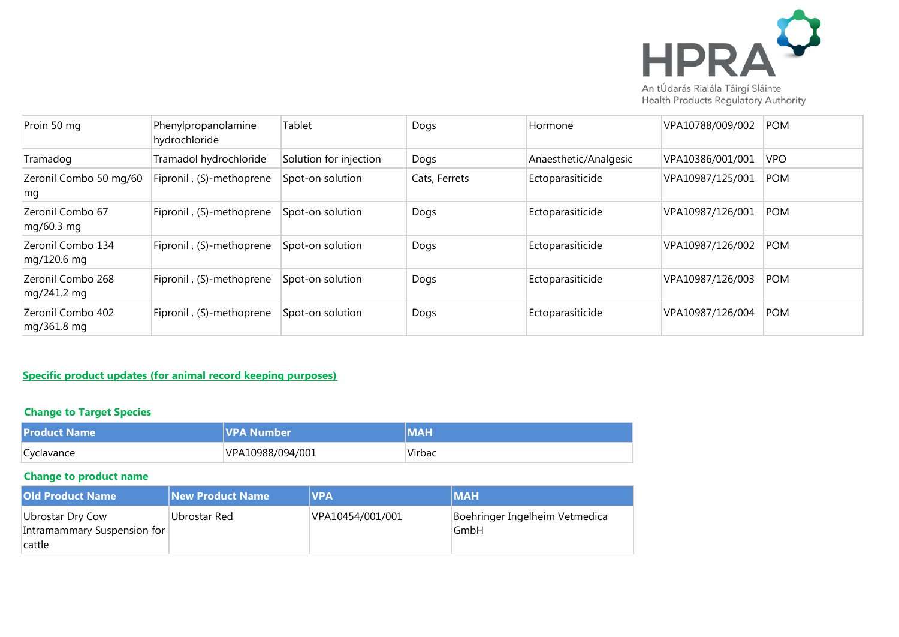

| Proin 50 mg                      | Phenylpropanolamine<br>hydrochloride | Tablet                 | Dogs          | Hormone               | VPA10788/009/002 | <b>POM</b> |
|----------------------------------|--------------------------------------|------------------------|---------------|-----------------------|------------------|------------|
| Tramadog                         | Tramadol hydrochloride               | Solution for injection | Dogs          | Anaesthetic/Analgesic | VPA10386/001/001 | <b>VPO</b> |
| Zeronil Combo 50 mg/60<br>mg     | Fipronil, (S)-methoprene             | Spot-on solution       | Cats, Ferrets | Ectoparasiticide      | VPA10987/125/001 | <b>POM</b> |
| Zeronil Combo 67<br>mg/60.3 mg   | Fipronil, (S)-methoprene             | Spot-on solution       | Dogs          | Ectoparasiticide      | VPA10987/126/001 | <b>POM</b> |
| Zeronil Combo 134<br>mg/120.6 mg | Fipronil, (S)-methoprene             | Spot-on solution       | Dogs          | Ectoparasiticide      | VPA10987/126/002 | <b>POM</b> |
| Zeronil Combo 268<br>mg/241.2 mg | Fipronil, (S)-methoprene             | Spot-on solution       | Dogs          | Ectoparasiticide      | VPA10987/126/003 | <b>POM</b> |
| Zeronil Combo 402<br>mg/361.8 mg | Fipronil, (S)-methoprene             | Spot-on solution       | Dogs          | Ectoparasiticide      | VPA10987/126/004 | <b>POM</b> |

#### **Specific product updates (for animal record keeping purposes)**

#### **Change to Target Species**

| <b>Product Name</b> | <b>VPA Number</b> | <b>MAH</b> |
|---------------------|-------------------|------------|
| Cyclavance          | VPA10988/094/001  | Virbac     |

### **Change to product name**

| <b>Old Product Name</b>                                   | <b>New Product Name</b> | <b>VPA</b>       | <b>IMAH</b>                            |
|-----------------------------------------------------------|-------------------------|------------------|----------------------------------------|
| Ubrostar Dry Cow<br>Intramammary Suspension for<br>cattle | Ubrostar Red            | VPA10454/001/001 | Boehringer Ingelheim Vetmedica<br>GmbH |